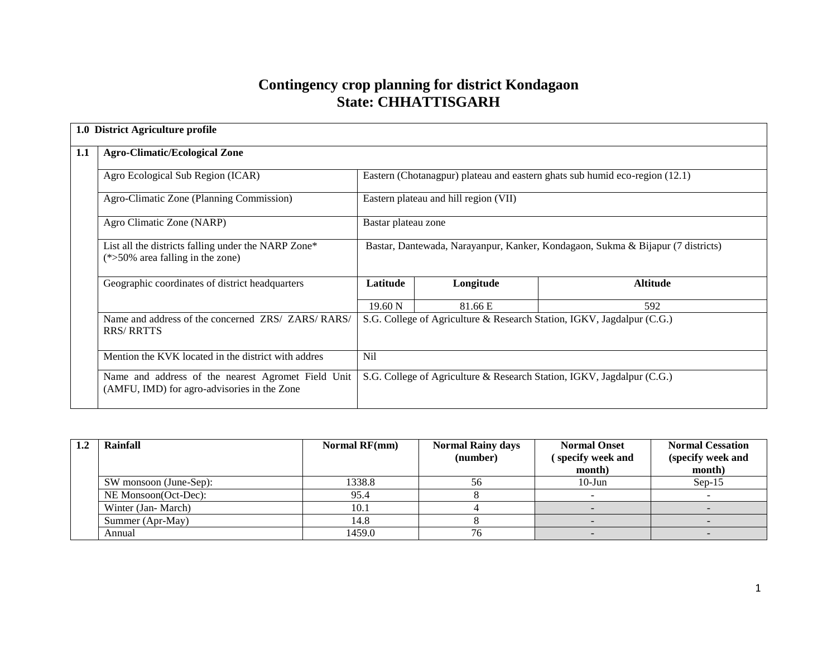# **Contingency crop planning for district Kondagaon State: CHHATTISGARH**

|     | 1.0 District Agriculture profile                                                                  |                                                                                 |                                       |                                                                             |  |  |  |  |
|-----|---------------------------------------------------------------------------------------------------|---------------------------------------------------------------------------------|---------------------------------------|-----------------------------------------------------------------------------|--|--|--|--|
| 1.1 | <b>Agro-Climatic/Ecological Zone</b>                                                              |                                                                                 |                                       |                                                                             |  |  |  |  |
|     | Agro Ecological Sub Region (ICAR)                                                                 |                                                                                 |                                       | Eastern (Chotanagpur) plateau and eastern ghats sub humid eco-region (12.1) |  |  |  |  |
|     | Agro-Climatic Zone (Planning Commission)                                                          |                                                                                 | Eastern plateau and hill region (VII) |                                                                             |  |  |  |  |
|     | Agro Climatic Zone (NARP)                                                                         | Bastar plateau zone                                                             |                                       |                                                                             |  |  |  |  |
|     | List all the districts falling under the NARP Zone*<br>$(*>50\%$ area falling in the zone)        | Bastar, Dantewada, Narayanpur, Kanker, Kondagaon, Sukma & Bijapur (7 districts) |                                       |                                                                             |  |  |  |  |
|     | Geographic coordinates of district headquarters                                                   | Latitude                                                                        | Longitude                             | <b>Altitude</b>                                                             |  |  |  |  |
|     |                                                                                                   | $19.60\text{ N}$                                                                | 81.66 E                               | 592                                                                         |  |  |  |  |
|     | Name and address of the concerned ZRS/ ZARS/RARS/<br><b>RRS/RRTTS</b>                             |                                                                                 |                                       | S.G. College of Agriculture & Research Station, IGKV, Jagdalpur (C.G.)      |  |  |  |  |
|     | Mention the KVK located in the district with addres                                               | Nil                                                                             |                                       |                                                                             |  |  |  |  |
|     | Name and address of the nearest Agromet Field Unit<br>(AMFU, IMD) for agro-advisories in the Zone |                                                                                 |                                       | S.G. College of Agriculture & Research Station, IGKV, Jagdalpur (C.G.)      |  |  |  |  |

| Rainfall               | <b>Normal RF(mm)</b> | <b>Normal Rainy days</b><br>(number) | <b>Normal Onset</b><br>specify week and | <b>Normal Cessation</b><br>(specify week and |
|------------------------|----------------------|--------------------------------------|-----------------------------------------|----------------------------------------------|
|                        |                      |                                      | month)                                  | month)                                       |
| SW monsoon (June-Sep): | 1338.8               | 56                                   | $10$ -Jun                               | $Sep-15$                                     |
| NE Monsoon(Oct-Dec):   | 95.4                 |                                      |                                         |                                              |
| Winter (Jan-March)     | 10.1                 |                                      |                                         |                                              |
| Summer (Apr-May)       | 14.8                 |                                      |                                         |                                              |
| Annual                 | 1459.0               | 76                                   |                                         |                                              |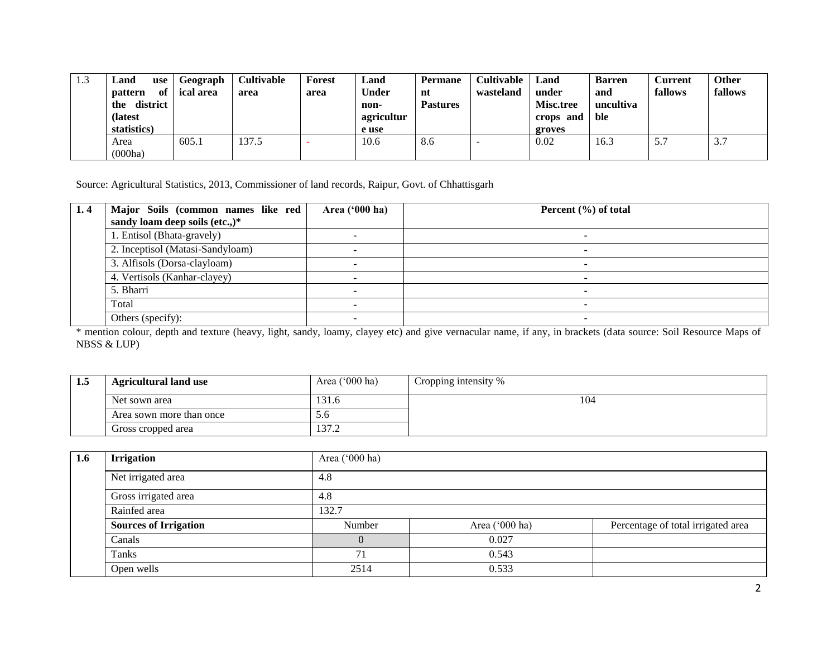| 1.3 | ∟and<br>use<br>of<br><b>pattern</b><br>district<br>the<br>(latest<br>statistics) | Geograph<br>ical area | <b>Cultivable</b><br>area | Forest<br>area | Land<br><b>Under</b><br>non-<br>agricultur<br>e use | <b>Permane</b><br>nt<br><b>Pastures</b> | <b>Cultivable</b><br>wasteland | Land<br>under<br><b>Misc.tree</b><br>crops and<br>groves | <b>Barren</b><br>and<br>uncultiva<br>ble | <b>Current</b><br>fallows | <b>Other</b><br>fallows |
|-----|----------------------------------------------------------------------------------|-----------------------|---------------------------|----------------|-----------------------------------------------------|-----------------------------------------|--------------------------------|----------------------------------------------------------|------------------------------------------|---------------------------|-------------------------|
|     | Area<br>(000ha)                                                                  | 605.1                 | 137.5                     |                | 10.6                                                | 8.6                                     | -                              | 0.02                                                     | 16.3                                     | 5.7                       | 3.7                     |

Source: Agricultural Statistics, 2013, Commissioner of land records, Raipur, Govt. of Chhattisgarh

| 1.4 | Major Soils (common names like red | Area $('000 ha)$ | Percent $(\% )$ of total |
|-----|------------------------------------|------------------|--------------------------|
|     | sandy loam deep soils (etc.,)*     |                  |                          |
|     | 1. Entisol (Bhata-gravely)         |                  |                          |
|     | 2. Inceptisol (Matasi-Sandyloam)   |                  |                          |
|     | 3. Alfisols (Dorsa-clayloam)       |                  |                          |
|     | 4. Vertisols (Kanhar-clayey)       |                  |                          |
|     | 5. Bharri                          |                  |                          |
|     | Total                              |                  |                          |
|     | Others (specify):                  |                  |                          |

\* mention colour, depth and texture (heavy, light, sandy, loamy, clayey etc) and give vernacular name, if any, in brackets (data source: Soil Resource Maps of NBSS & LUP)

| 1.5 | <b>Agricultural land use</b> | Area $('000 ha)$ | Cropping intensity % |
|-----|------------------------------|------------------|----------------------|
|     | Net sown area                | 31.6             | 104                  |
|     | Area sown more than once     | J.U              |                      |
|     | Gross cropped area           | 372<br>ے ، ا د…  |                      |

| 1.6 | <b>Irrigation</b>            | Area ('000 ha) |                |                                    |  |  |  |  |
|-----|------------------------------|----------------|----------------|------------------------------------|--|--|--|--|
|     | Net irrigated area           | 4.8            |                |                                    |  |  |  |  |
|     | Gross irrigated area         | 4.8            |                |                                    |  |  |  |  |
|     | Rainfed area                 | 132.7          |                |                                    |  |  |  |  |
|     | <b>Sources of Irrigation</b> | Number         | Area ('000 ha) | Percentage of total irrigated area |  |  |  |  |
|     | Canals                       |                | 0.027          |                                    |  |  |  |  |
|     | Tanks                        | 71             | 0.543          |                                    |  |  |  |  |
|     | Open wells                   | 2514           | 0.533          |                                    |  |  |  |  |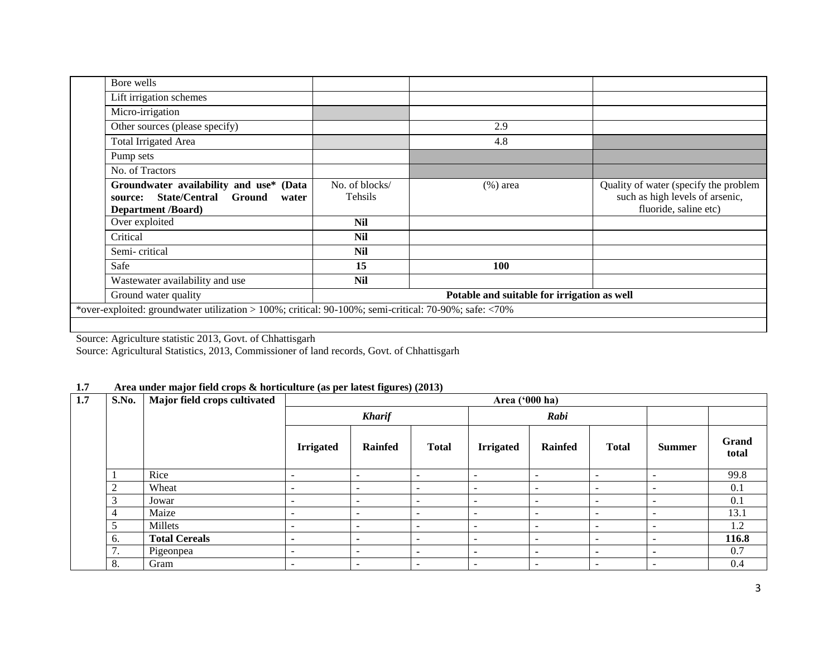| Bore wells                                                                                                                           |                                             |             |                                                                                                   |  |  |  |
|--------------------------------------------------------------------------------------------------------------------------------------|---------------------------------------------|-------------|---------------------------------------------------------------------------------------------------|--|--|--|
| Lift irrigation schemes                                                                                                              |                                             |             |                                                                                                   |  |  |  |
| Micro-irrigation                                                                                                                     |                                             |             |                                                                                                   |  |  |  |
| Other sources (please specify)                                                                                                       |                                             | 2.9         |                                                                                                   |  |  |  |
| Total Irrigated Area                                                                                                                 |                                             | 4.8         |                                                                                                   |  |  |  |
| Pump sets                                                                                                                            |                                             |             |                                                                                                   |  |  |  |
| No. of Tractors                                                                                                                      |                                             |             |                                                                                                   |  |  |  |
| Groundwater availability and use*<br>(Data<br><b>State/Central</b><br><b>Ground</b><br>source:<br>water<br><b>Department /Board)</b> | No. of blocks/<br>Tehsils                   | $(\%)$ area | Quality of water (specify the problem<br>such as high levels of arsenic,<br>fluoride, saline etc) |  |  |  |
| Over exploited                                                                                                                       | <b>Nil</b>                                  |             |                                                                                                   |  |  |  |
| Critical                                                                                                                             | <b>Nil</b>                                  |             |                                                                                                   |  |  |  |
| Semi-critical                                                                                                                        | <b>Nil</b>                                  |             |                                                                                                   |  |  |  |
| Safe                                                                                                                                 | 15                                          | <b>100</b>  |                                                                                                   |  |  |  |
| Wastewater availability and use                                                                                                      | <b>Nil</b>                                  |             |                                                                                                   |  |  |  |
| Ground water quality                                                                                                                 | Potable and suitable for irrigation as well |             |                                                                                                   |  |  |  |
| *over-exploited: groundwater utilization > 100%; critical: 90-100%; semi-critical: 70-90%; safe: <70%                                |                                             |             |                                                                                                   |  |  |  |
|                                                                                                                                      |                                             |             |                                                                                                   |  |  |  |

Source: Agriculture statistic 2013, Govt. of Chhattisgarh

Source: Agricultural Statistics, 2013, Commissioner of land records, Govt. of Chhattisgarh

### **1.7 Area under major field crops & horticulture (as per latest figures) (2013)**

| 1.7 | S.No.                                      | Major field crops cultivated | Area ('000 ha)           |                          |                          |                          |                          |                          |                          |                |
|-----|--------------------------------------------|------------------------------|--------------------------|--------------------------|--------------------------|--------------------------|--------------------------|--------------------------|--------------------------|----------------|
|     |                                            |                              |                          | <b>Kharif</b>            |                          |                          | Rabi                     |                          |                          |                |
|     |                                            |                              | <b>Irrigated</b>         | <b>Rainfed</b>           | <b>Total</b>             | <b>Irrigated</b>         | <b>Rainfed</b>           | <b>Total</b>             | <b>Summer</b>            | Grand<br>total |
|     |                                            | Rice                         | $\overline{\phantom{a}}$ | $\overline{\phantom{a}}$ | $\overline{\phantom{a}}$ | $\overline{\phantom{a}}$ | $\overline{\phantom{a}}$ | $\overline{\phantom{0}}$ | -                        | 99.8           |
|     | $\overline{2}$                             | Wheat                        | -                        | $\overline{\phantom{a}}$ | $\overline{\phantom{a}}$ | $\overline{\phantom{0}}$ | $\overline{\phantom{a}}$ | $\overline{\phantom{0}}$ | $\overline{\phantom{a}}$ | 0.1            |
|     | 3                                          | Jowar                        | $\overline{\phantom{a}}$ | $\overline{\phantom{a}}$ | $\overline{\phantom{a}}$ | $\overline{\phantom{a}}$ | $\overline{\phantom{a}}$ | $\overline{\phantom{0}}$ | $\overline{\phantom{a}}$ | 0.1            |
|     | 4                                          | Maize                        | $\overline{\phantom{0}}$ | $\overline{\phantom{a}}$ | $\overline{\phantom{0}}$ | $\overline{\phantom{0}}$ | $\overline{\phantom{a}}$ | $\overline{\phantom{0}}$ | $\overline{\phantom{0}}$ | 13.1           |
|     | 5                                          | Millets                      | <b>1</b>                 | $\overline{\phantom{a}}$ | $\overline{\phantom{a}}$ | $\overline{\phantom{0}}$ | $\overline{\phantom{a}}$ | $\overline{\phantom{0}}$ | -                        | 1.2            |
|     | 6.                                         | <b>Total Cereals</b>         | $\overline{\phantom{a}}$ | $\overline{\phantom{a}}$ | $\overline{\phantom{a}}$ | $\overline{\phantom{0}}$ | $\overline{\phantom{a}}$ | $\overline{\phantom{0}}$ | $\overline{\phantom{a}}$ | 116.8          |
|     | $\overline{7}$<br>$\overline{\phantom{a}}$ | Pigeonpea                    | $\overline{\phantom{0}}$ | $\overline{\phantom{0}}$ | $\blacksquare$           | $\overline{\phantom{0}}$ | ٠                        | ۰                        | $\blacksquare$           | 0.7            |
|     | 8.                                         | Gram                         | $\overline{\phantom{a}}$ | $\overline{\phantom{a}}$ | $\overline{\phantom{a}}$ | $\overline{\phantom{a}}$ | $\overline{\phantom{a}}$ | $\overline{\phantom{a}}$ | $\overline{\phantom{a}}$ | 0.4            |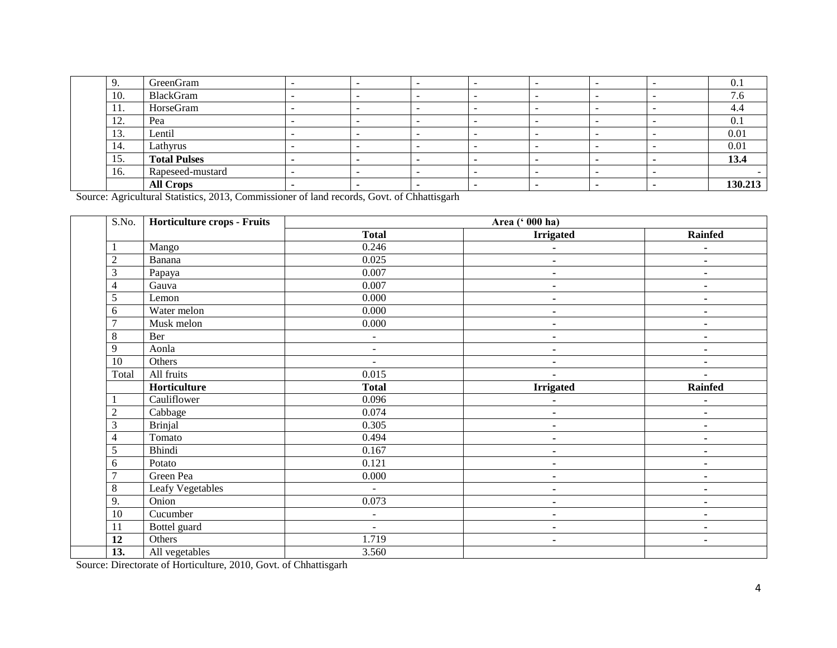| 9.                     | GreenGram           |  |  | - | ∩<br>U.1 |
|------------------------|---------------------|--|--|---|----------|
| 10.                    | BlackGram           |  |  |   | . v      |
| -11.                   | HorseGram           |  |  |   | 4.4      |
| $1^{\circ}$<br>$\perp$ | Pea                 |  |  | - | V.I      |
| 13.                    | Lentil              |  |  | - | 0.01     |
| 14.                    | Lathyrus            |  |  |   | 0.01     |
| 15.                    | <b>Total Pulses</b> |  |  |   | 13.4     |
| 16.                    | Rapeseed-mustard    |  |  | - |          |
|                        | <b>All Crops</b>    |  |  |   | 130.213  |

Source: Agricultural Statistics, 2013, Commissioner of land records, Govt. of Chhattisgarh

| S.No.          | <b>Horticulture crops - Fruits</b> | Area (' 000 ha) |                  |                          |  |  |  |  |
|----------------|------------------------------------|-----------------|------------------|--------------------------|--|--|--|--|
|                |                                    | <b>Total</b>    | <b>Irrigated</b> | Rainfed                  |  |  |  |  |
|                | Mango                              | 0.246           | ۰                | ۰                        |  |  |  |  |
| $\overline{2}$ | Banana                             | 0.025           | ۰                | ٠                        |  |  |  |  |
| 3              | Papaya                             | 0.007           | $\blacksquare$   | $\blacksquare$           |  |  |  |  |
| 4              | Gauva                              | 0.007           | ۰                |                          |  |  |  |  |
| 5              | Lemon                              | 0.000           | $\blacksquare$   | $\blacksquare$           |  |  |  |  |
| 6              | Water melon                        | 0.000           | ۰                |                          |  |  |  |  |
| 7              | Musk melon                         | 0.000           | $\blacksquare$   | ٠                        |  |  |  |  |
| 8              | Ber                                | $\blacksquare$  | $\blacksquare$   | ٠                        |  |  |  |  |
| 9              | Aonla                              | $\blacksquare$  | $\blacksquare$   | $\blacksquare$           |  |  |  |  |
| 10             | Others                             | $\blacksquare$  | $\blacksquare$   | $\blacksquare$           |  |  |  |  |
| Total          | All fruits                         | 0.015           |                  | $\overline{\phantom{a}}$ |  |  |  |  |
|                | Horticulture                       | <b>Total</b>    | <b>Irrigated</b> | <b>Rainfed</b>           |  |  |  |  |
| 1              | Cauliflower                        | 0.096           |                  | ٠                        |  |  |  |  |
| $\overline{c}$ | Cabbage                            | 0.074           | $\blacksquare$   | $\blacksquare$           |  |  |  |  |
| 3              | <b>Brinjal</b>                     | 0.305           | $\blacksquare$   | ۰                        |  |  |  |  |
| 4              | Tomato                             | 0.494           | ٠                | $\blacksquare$           |  |  |  |  |
| 5              | <b>Bhindi</b>                      | 0.167           | $\blacksquare$   |                          |  |  |  |  |
| 6              | Potato                             | 0.121           | $\blacksquare$   | ۰                        |  |  |  |  |
| 7              | Green Pea                          | 0.000           | $\blacksquare$   | ٠                        |  |  |  |  |
| 8              | Leafy Vegetables                   | $\blacksquare$  | $\blacksquare$   | $\blacksquare$           |  |  |  |  |
| 9.             | Onion                              | 0.073           | $\blacksquare$   | ۰                        |  |  |  |  |
| 10             | Cucumber                           | $\blacksquare$  | ۰                | $\blacksquare$           |  |  |  |  |
| 11             | Bottel guard                       | $\blacksquare$  | $\blacksquare$   | $\blacksquare$           |  |  |  |  |
| 12             | Others                             | 1.719           | $\blacksquare$   | $\blacksquare$           |  |  |  |  |
| 13.            | All vegetables                     | 3.560           |                  |                          |  |  |  |  |

Source: Directorate of Horticulture, 2010, Govt. of Chhattisgarh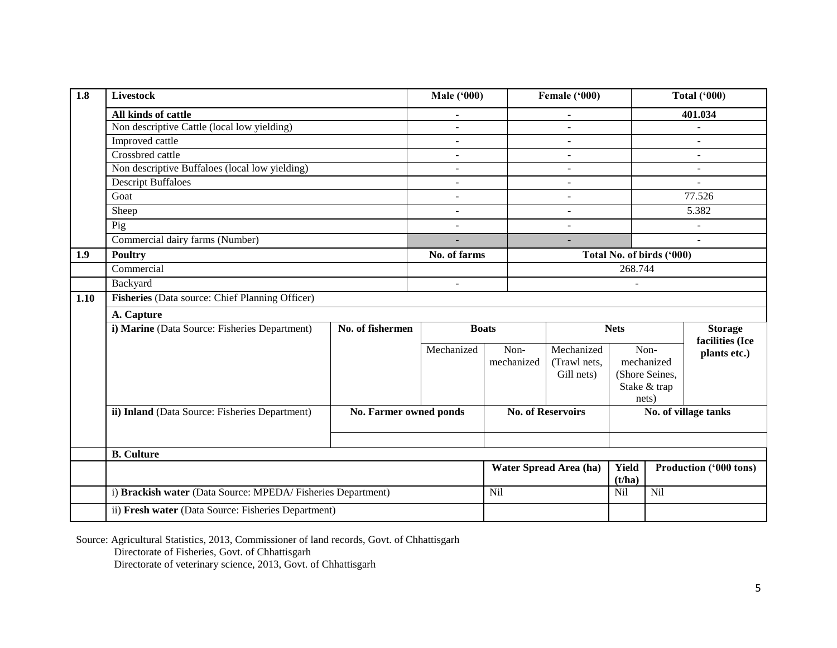| 1.8  | <b>Livestock</b>                                             |                        | <b>Male ('000)</b>       |              | Female ('000)            | <b>Total ('000)</b> |                           |                                           |  |
|------|--------------------------------------------------------------|------------------------|--------------------------|--------------|--------------------------|---------------------|---------------------------|-------------------------------------------|--|
|      | All kinds of cattle                                          |                        | $\blacksquare$           |              |                          |                     |                           | 401.034                                   |  |
|      | Non descriptive Cattle (local low yielding)                  |                        |                          |              |                          |                     |                           |                                           |  |
|      | Improved cattle                                              |                        |                          |              |                          |                     |                           |                                           |  |
|      | Crossbred cattle                                             |                        |                          |              |                          |                     |                           |                                           |  |
|      | Non descriptive Buffaloes (local low yielding)               |                        | $\blacksquare$           |              | $\blacksquare$           | $\blacksquare$      |                           |                                           |  |
|      | <b>Descript Buffaloes</b>                                    |                        | $\overline{a}$           |              | $\overline{a}$           |                     | $\overline{a}$            |                                           |  |
|      | Goat                                                         |                        | $\overline{a}$           |              | $\overline{a}$           |                     | 77.526                    |                                           |  |
|      | Sheep                                                        |                        | ÷.                       |              | $\overline{\phantom{a}}$ |                     |                           | 5.382                                     |  |
|      | Pig                                                          |                        | $\overline{a}$           |              | $\blacksquare$           |                     |                           |                                           |  |
|      | Commercial dairy farms (Number)                              |                        |                          |              |                          |                     |                           |                                           |  |
| 1.9  | <b>Poultry</b>                                               |                        | No. of farms             |              |                          |                     | Total No. of birds ('000) |                                           |  |
|      | Commercial                                                   |                        |                          |              | 268.744                  |                     |                           |                                           |  |
|      | Backyard                                                     |                        | $\overline{\phantom{a}}$ |              |                          |                     |                           |                                           |  |
| 1.10 | Fisheries (Data source: Chief Planning Officer)              |                        |                          |              |                          |                     |                           |                                           |  |
|      | A. Capture                                                   |                        |                          |              |                          |                     |                           |                                           |  |
|      | i) Marine (Data Source: Fisheries Department)                | No. of fishermen       |                          | <b>Boats</b> |                          | <b>Nets</b>         | <b>Storage</b>            |                                           |  |
|      |                                                              |                        | Mechanized               | Non-         | Mechanized               |                     | Non-                      | facilities (Ice                           |  |
|      |                                                              |                        |                          | mechanized   | (Trawl nets,             |                     | mechanized                | plants etc.)                              |  |
|      |                                                              |                        |                          |              | Gill nets)               |                     | (Shore Seines,            |                                           |  |
|      |                                                              |                        |                          |              |                          |                     | Stake & trap              |                                           |  |
|      |                                                              |                        |                          |              |                          |                     | nets)                     |                                           |  |
|      | ii) Inland (Data Source: Fisheries Department)               | No. Farmer owned ponds |                          |              | <b>No. of Reservoirs</b> |                     |                           | No. of village tanks                      |  |
|      |                                                              |                        |                          |              |                          |                     |                           |                                           |  |
|      |                                                              |                        |                          |              |                          |                     |                           |                                           |  |
|      | <b>B.</b> Culture                                            |                        |                          |              |                          |                     |                           |                                           |  |
|      |                                                              |                        |                          |              | Water Spread Area (ha)   |                     |                           | Yield<br>Production ('000 tons)<br>(t/ha) |  |
|      | i) Brackish water (Data Source: MPEDA/ Fisheries Department) |                        |                          | Nil          |                          | Nil                 | <b>Nil</b>                |                                           |  |
|      | ii) Fresh water (Data Source: Fisheries Department)          |                        |                          |              |                          |                     |                           |                                           |  |

Source: Agricultural Statistics, 2013, Commissioner of land records, Govt. of Chhattisgarh Directorate of Fisheries, Govt. of Chhattisgarh Directorate of veterinary science, 2013, Govt. of Chhattisgarh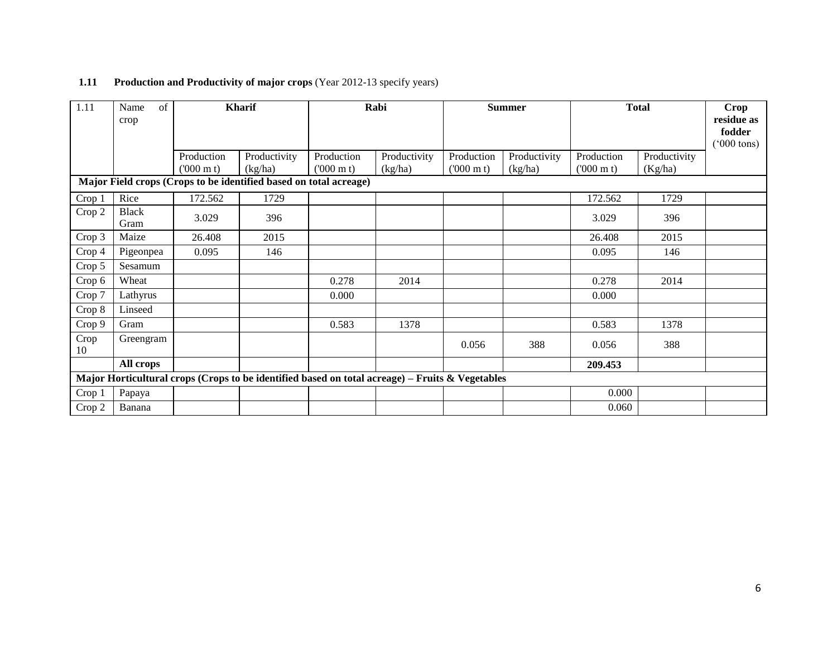| 1.11                                                              | of<br>Name<br>crop   |                                 | <b>Kharif</b>                                                                                   |                                 | Rabi                    |                                 | <b>Summer</b>           | <b>Total</b>                    |                         | Crop<br>residue as<br>fodder<br>$(5000 \text{ tons})$ |  |  |
|-------------------------------------------------------------------|----------------------|---------------------------------|-------------------------------------------------------------------------------------------------|---------------------------------|-------------------------|---------------------------------|-------------------------|---------------------------------|-------------------------|-------------------------------------------------------|--|--|
|                                                                   |                      | Production<br>$(000 \text{ m})$ | Productivity<br>(kg/ha)                                                                         | Production<br>$(000 \text{ m})$ | Productivity<br>(kg/ha) | Production<br>$(000 \text{ m})$ | Productivity<br>(kg/ha) | Production<br>$(000 \text{ m})$ | Productivity<br>(Kg/ha) |                                                       |  |  |
| Major Field crops (Crops to be identified based on total acreage) |                      |                                 |                                                                                                 |                                 |                         |                                 |                         |                                 |                         |                                                       |  |  |
| Crop 1                                                            | Rice                 | 172.562                         | 1729                                                                                            |                                 |                         |                                 |                         | 172.562                         | 1729                    |                                                       |  |  |
| Crop 2                                                            | <b>Black</b><br>Gram | 3.029                           | 396                                                                                             |                                 |                         |                                 |                         | 3.029                           | 396                     |                                                       |  |  |
| Crop 3                                                            | Maize                | 26.408                          | 2015                                                                                            |                                 |                         |                                 |                         | 26.408                          | 2015                    |                                                       |  |  |
| Crop 4                                                            | Pigeonpea            | 0.095                           | 146                                                                                             |                                 |                         |                                 |                         | 0.095                           | 146                     |                                                       |  |  |
| Crop 5                                                            | Sesamum              |                                 |                                                                                                 |                                 |                         |                                 |                         |                                 |                         |                                                       |  |  |
| Crop 6                                                            | Wheat                |                                 |                                                                                                 | 0.278                           | 2014                    |                                 |                         | 0.278                           | 2014                    |                                                       |  |  |
| Crop 7                                                            | Lathyrus             |                                 |                                                                                                 | 0.000                           |                         |                                 |                         | 0.000                           |                         |                                                       |  |  |
| Crop 8                                                            | Linseed              |                                 |                                                                                                 |                                 |                         |                                 |                         |                                 |                         |                                                       |  |  |
| Crop 9                                                            | Gram                 |                                 |                                                                                                 | 0.583                           | 1378                    |                                 |                         | 0.583                           | 1378                    |                                                       |  |  |
| Crop<br>10                                                        | Greengram            |                                 |                                                                                                 |                                 |                         | 0.056                           | 388                     | 0.056                           | 388                     |                                                       |  |  |
|                                                                   | All crops            |                                 |                                                                                                 |                                 |                         |                                 |                         | 209.453                         |                         |                                                       |  |  |
|                                                                   |                      |                                 | Major Horticultural crops (Crops to be identified based on total acreage) – Fruits & Vegetables |                                 |                         |                                 |                         |                                 |                         |                                                       |  |  |
| Crop 1                                                            | Papaya               |                                 |                                                                                                 |                                 |                         |                                 |                         | 0.000                           |                         |                                                       |  |  |
| Crop 2                                                            | Banana               |                                 |                                                                                                 |                                 |                         |                                 |                         | 0.060                           |                         |                                                       |  |  |

## **1.11 Production and Productivity of major crops (Year 2012-13 specify years)**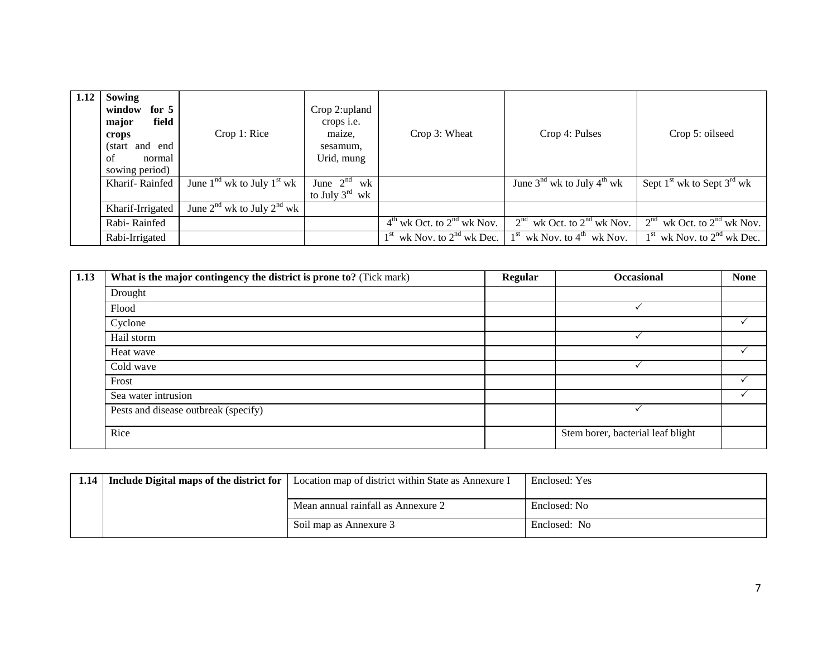| 1.12 | Sowing<br>window<br>for $5$<br>field<br>major<br>crops<br>and end<br>(start)<br>of<br>normal<br>sowing period) | Crop 1: Rice                         | Crop 2:upland<br>crops <i>i.e.</i><br>maize,<br>sesamum,<br>Urid, mung | Crop 3: Wheat                  | Crop 4: Pulses                                     | Crop 5: oilseed                |
|------|----------------------------------------------------------------------------------------------------------------|--------------------------------------|------------------------------------------------------------------------|--------------------------------|----------------------------------------------------|--------------------------------|
|      | Kharif-Rainfed                                                                                                 | June $1nd$ wk to July $1st$ wk       | June $2nd$<br>wk<br>to July $3^{\text{rd}}$ wk                         |                                | June 3 <sup>nd</sup> wk to July 4 <sup>th</sup> wk | Sept $1st$ wk to Sept $3rd$ wk |
|      | Kharif-Irrigated                                                                                               | June $2^{nd}$ wk to July $2^{nd}$ wk |                                                                        |                                |                                                    |                                |
|      | Rabi-Rainfed                                                                                                   |                                      |                                                                        | $4th$ wk Oct. to $2nd$ wk Nov. | 2 <sup>nd</sup><br>wk Oct. to $2nd$ wk Nov.        | $2nd$ wk Oct. to $2nd$ wk Nov. |
|      | Rabi-Irrigated                                                                                                 |                                      |                                                                        | $1st$ wk Nov. to $2nd$ wk Dec. | $1st$ wk Nov. to $4th$ wk Nov.                     | $1st$ wk Nov. to $2nd$ wk Dec. |

| 1.13 | What is the major contingency the district is prone to? (Tick mark) | <b>Regular</b> | <b>Occasional</b>                 | <b>None</b> |
|------|---------------------------------------------------------------------|----------------|-----------------------------------|-------------|
|      | Drought                                                             |                |                                   |             |
|      | Flood                                                               |                |                                   |             |
|      | Cyclone                                                             |                |                                   |             |
|      | Hail storm                                                          |                |                                   |             |
|      | Heat wave                                                           |                |                                   |             |
|      | Cold wave                                                           |                |                                   |             |
|      | Frost                                                               |                |                                   |             |
|      | Sea water intrusion                                                 |                |                                   |             |
|      | Pests and disease outbreak (specify)                                |                |                                   |             |
|      | Rice                                                                |                | Stem borer, bacterial leaf blight |             |

| 1.14 | Include Digital maps of the district for | Location map of district within State as Annexure I | Enclosed: Yes |
|------|------------------------------------------|-----------------------------------------------------|---------------|
|      |                                          | Mean annual rainfall as Annexure 2                  | Enclosed: No  |
|      |                                          | Soil map as Annexure 3                              | Enclosed: No  |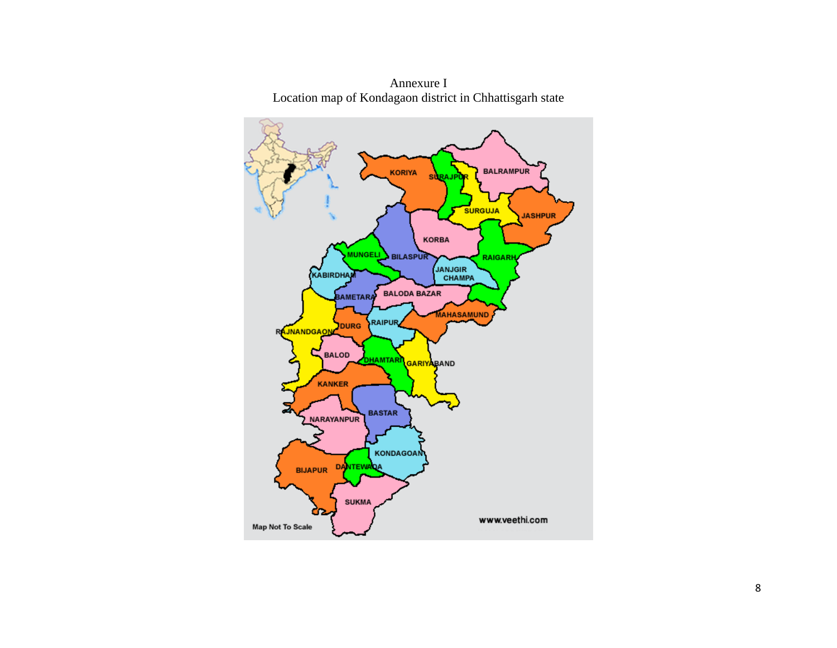

Annexure I Location map of Kondagaon district in Chhattisgarh state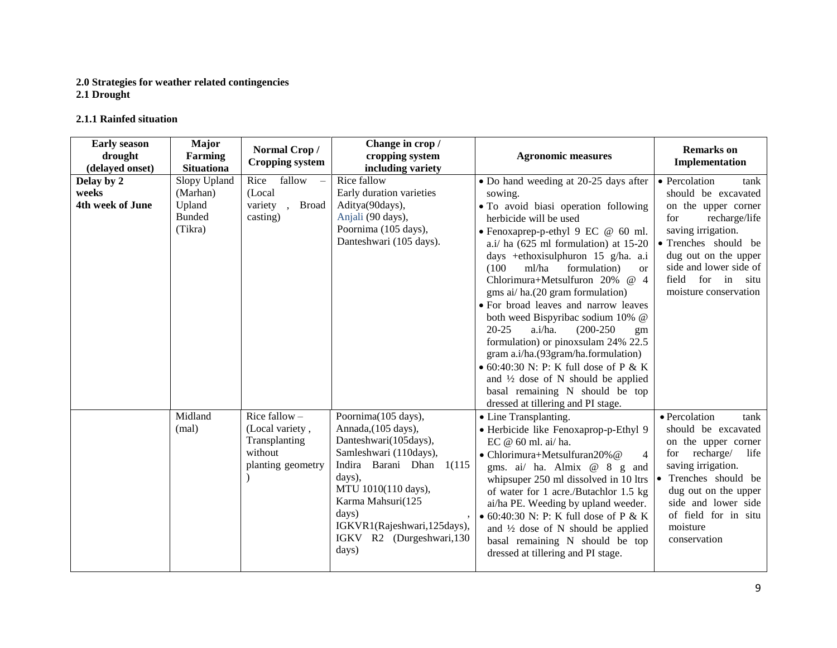### **2.0 Strategies for weather related contingencies**

**2.1 Drought** 

### **2.1.1 Rainfed situation**

| <b>Early season</b><br>drought<br>(delayed onset) | Major<br><b>Farming</b><br><b>Situationa</b>                   | Normal Crop/<br><b>Cropping system</b>                                              | Change in crop /<br>cropping system<br>including variety                                                                                                                                                                                                       | <b>Agronomic measures</b>                                                                                                                                                                                                                                                                                                                                                                                                                                                                                                                                                                                                                                                                                                                             | <b>Remarks</b> on<br>Implementation                                                                                                                                                                                                         |
|---------------------------------------------------|----------------------------------------------------------------|-------------------------------------------------------------------------------------|----------------------------------------------------------------------------------------------------------------------------------------------------------------------------------------------------------------------------------------------------------------|-------------------------------------------------------------------------------------------------------------------------------------------------------------------------------------------------------------------------------------------------------------------------------------------------------------------------------------------------------------------------------------------------------------------------------------------------------------------------------------------------------------------------------------------------------------------------------------------------------------------------------------------------------------------------------------------------------------------------------------------------------|---------------------------------------------------------------------------------------------------------------------------------------------------------------------------------------------------------------------------------------------|
| Delay by 2<br>weeks<br>4th week of June           | Slopy Upland<br>(Marhan)<br>Upland<br><b>Bunded</b><br>(Tikra) | fallow<br>Rice<br>(Local<br>variety<br><b>Broad</b><br>casting)                     | Rice fallow<br>Early duration varieties<br>Aditya(90days),<br>Anjali (90 days),<br>Poornima (105 days),<br>Danteshwari (105 days).                                                                                                                             | • Do hand weeding at 20-25 days after<br>sowing.<br>· To avoid biasi operation following<br>herbicide will be used<br>• Fenoxaprep-p-ethyl 9 EC @ 60 ml.<br>a.i/ ha (625 ml formulation) at 15-20<br>days +ethoxisulphuron 15 g/ha. a.i<br>ml/ha<br>formulation)<br>(100)<br><sub>or</sub><br>Chlorimura+Metsulfuron 20%<br>@ 4<br>gms ai/ha.(20 gram formulation)<br>· For broad leaves and narrow leaves<br>both weed Bispyribac sodium 10% @<br>$20 - 25$<br>a.i/ha.<br>$(200-250)$<br>gm<br>formulation) or pinoxsulam 24% 22.5<br>gram a.i/ha.(93gram/ha.formulation)<br>$\bullet$ 60:40:30 N: P: K full dose of P & K<br>and $\frac{1}{2}$ dose of N should be applied<br>basal remaining N should be top<br>dressed at tillering and PI stage. | • Percolation<br>tank<br>should be excavated<br>on the upper corner<br>recharge/life<br>for<br>saving irrigation.<br>• Trenches should be<br>dug out on the upper<br>side and lower side of<br>field for in situ<br>moisture conservation   |
|                                                   | Midland<br>(mal)                                               | Rice fallow $-$<br>(Local variety,<br>Transplanting<br>without<br>planting geometry | Poornima(105 days),<br>Annada, (105 days),<br>Danteshwari(105days),<br>Samleshwari (110days),<br>Indira Barani Dhan 1(115<br>days),<br>MTU 1010(110 days),<br>Karma Mahsuri(125<br>days)<br>IGKVR1(Rajeshwari, 125days),<br>IGKV R2 (Durgeshwari, 130<br>days) | • Line Transplanting.<br>• Herbicide like Fenoxaprop-p-Ethyl 9<br>EC @ 60 ml. ai/ ha.<br>• Chlorimura+Metsulfuran20%@<br>$\overline{4}$<br>gms. ai/ ha. Almix @ 8 g and<br>whipsuper 250 ml dissolved in 10 ltrs<br>of water for 1 acre./Butachlor 1.5 kg<br>ai/ha PE. Weeding by upland weeder.<br>$\bullet$ 60:40:30 N: P: K full dose of P & K<br>and $\frac{1}{2}$ dose of N should be applied<br>basal remaining N should be top<br>dressed at tillering and PI stage.                                                                                                                                                                                                                                                                           | · Percolation<br>tank<br>should be excavated<br>on the upper corner<br>for recharge/<br>life<br>saving irrigation.<br>Trenches should be<br>dug out on the upper<br>side and lower side<br>of field for in situ<br>moisture<br>conservation |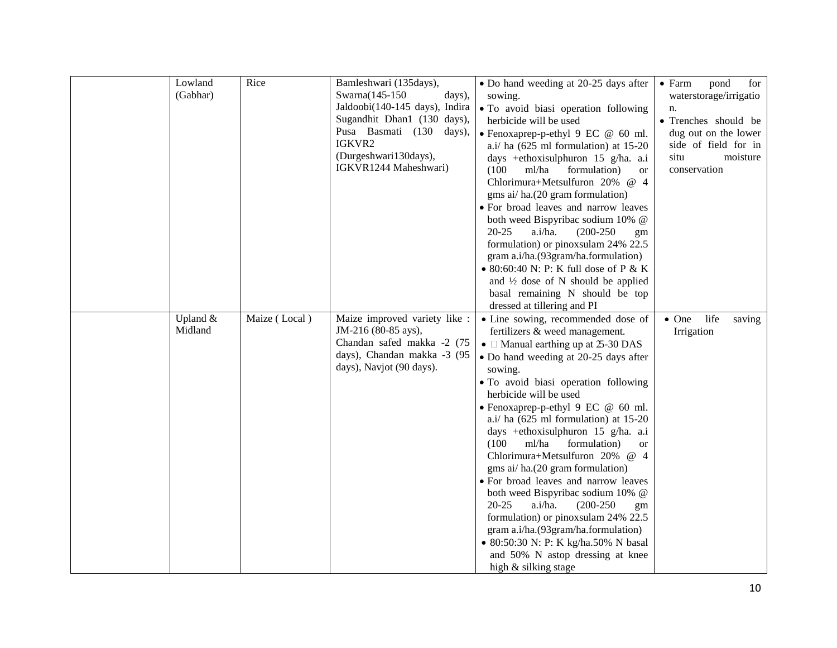| Lowland<br>(Gabhar) | Rice          | Bamleshwari (135days),<br>Swarna(145-150)<br>days),<br>Jaldoobi(140-145 days), Indira<br>Sugandhit Dhan1 (130 days),<br>Pusa Basmati (130 days),<br>IGKVR2<br>(Durgeshwari130days),<br>IGKVR1244 Maheshwari) | • Do hand weeding at 20-25 days after<br>sowing.<br>• To avoid biasi operation following<br>herbicide will be used<br>• Fenoxaprep-p-ethyl 9 EC @ 60 ml.<br>a.i/ ha (625 ml formulation) at 15-20<br>days +ethoxisulphuron 15 g/ha. a.i<br>ml/ha<br>formulation)<br>(100)<br><b>or</b><br>Chlorimura+Metsulfuron 20% @ 4<br>gms ai/ ha.(20 gram formulation)<br>· For broad leaves and narrow leaves<br>both weed Bispyribac sodium 10% @<br>$20 - 25$<br>a.i/ha.<br>$(200-250)$<br>gm<br>formulation) or pinoxsulam 24% 22.5<br>gram a.i/ha.(93gram/ha.formulation)<br>• 80:60:40 N: P: K full dose of P & K<br>and $\frac{1}{2}$ dose of N should be applied<br>basal remaining N should be top<br>dressed at tillering and PI                                                                             | $\bullet$ Farm<br>pond<br>for<br>waterstorage/irrigatio<br>n.<br>· Trenches should be<br>dug out on the lower<br>side of field for in<br>situ<br>moisture<br>conservation |
|---------------------|---------------|--------------------------------------------------------------------------------------------------------------------------------------------------------------------------------------------------------------|--------------------------------------------------------------------------------------------------------------------------------------------------------------------------------------------------------------------------------------------------------------------------------------------------------------------------------------------------------------------------------------------------------------------------------------------------------------------------------------------------------------------------------------------------------------------------------------------------------------------------------------------------------------------------------------------------------------------------------------------------------------------------------------------------------------|---------------------------------------------------------------------------------------------------------------------------------------------------------------------------|
| Upland &<br>Midland | Maize (Local) | Maize improved variety like :<br>JM-216 (80-85 ays),<br>Chandan safed makka -2 (75<br>days), Chandan makka -3 (95<br>days), Navjot (90 days).                                                                | • Line sowing, recommended dose of<br>fertilizers & weed management.<br>• $\Box$ Manual earthing up at $\Im$ -30 DAS<br>• Do hand weeding at 20-25 days after<br>sowing.<br>• To avoid biasi operation following<br>herbicide will be used<br>• Fenoxaprep-p-ethyl 9 EC @ 60 ml.<br>a.i/ ha $(625 \text{ ml}$ formulation) at $15-20$<br>days +ethoxisulphuron 15 g/ha. a.i<br>(100)<br>ml/ha<br>formulation)<br><b>or</b><br>Chlorimura+Metsulfuron 20% @ 4<br>gms ai/ ha.(20 gram formulation)<br>• For broad leaves and narrow leaves<br>both weed Bispyribac sodium 10% @<br>$20 - 25$<br>a.i/ha.<br>$(200-250)$<br>gm<br>formulation) or pinoxsulam 24% 22.5<br>gram a.i/ha.(93gram/ha.formulation)<br>• 80:50:30 N: P: K kg/ha.50% N basal<br>and 50% N astop dressing at knee<br>high & silking stage | life<br>$\bullet$ One<br>saving<br>Irrigation                                                                                                                             |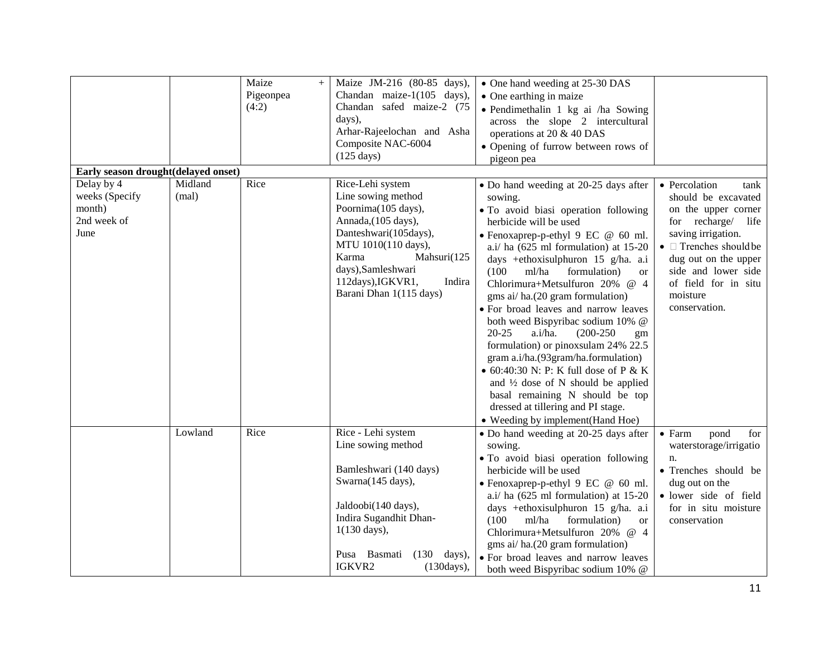|                                                                                                      |                  | Maize<br>$+$<br>Pigeonpea<br>(4:2) | Maize JM-216 (80-85 days),<br>Chandan maize-1(105 days),<br>Chandan safed maize-2 (75<br>days),<br>Arhar-Rajeelochan and Asha<br>Composite NAC-6004<br>$(125 \text{ days})$                                                                  | • One hand weeding at 25-30 DAS<br>• One earthing in maize<br>· Pendimethalin 1 kg ai /ha Sowing<br>across the slope 2 intercultural<br>operations at 20 & 40 DAS<br>• Opening of furrow between rows of<br>pigeon pea                                                                                                                                                                                                                                                                                                                                                                                                                                                                                                                                                                 |                                                                                                                                                                                                                                                            |
|------------------------------------------------------------------------------------------------------|------------------|------------------------------------|----------------------------------------------------------------------------------------------------------------------------------------------------------------------------------------------------------------------------------------------|----------------------------------------------------------------------------------------------------------------------------------------------------------------------------------------------------------------------------------------------------------------------------------------------------------------------------------------------------------------------------------------------------------------------------------------------------------------------------------------------------------------------------------------------------------------------------------------------------------------------------------------------------------------------------------------------------------------------------------------------------------------------------------------|------------------------------------------------------------------------------------------------------------------------------------------------------------------------------------------------------------------------------------------------------------|
| Early season drought(delayed onset)<br>Delay by 4<br>weeks (Specify<br>month)<br>2nd week of<br>June | Midland<br>(mal) | Rice                               | Rice-Lehi system<br>Line sowing method<br>Poornima(105 days),<br>Annada, (105 days),<br>Danteshwari(105days),<br>MTU 1010(110 days),<br>Karma<br>Mahsuri(125<br>days), Samleshwari<br>112days), IGKVR1,<br>Indira<br>Barani Dhan 1(115 days) | • Do hand weeding at 20-25 days after<br>sowing.<br>· To avoid biasi operation following<br>herbicide will be used<br>· Fenoxaprep-p-ethyl 9 EC @ 60 ml.<br>a.i/ ha (625 ml formulation) at 15-20<br>days +ethoxisulphuron 15 g/ha. a.i<br>ml/ha<br>formulation)<br>(100)<br><sub>or</sub><br>Chlorimura+Metsulfuron 20% @ 4<br>gms ai/ha.(20 gram formulation)<br>· For broad leaves and narrow leaves<br>both weed Bispyribac sodium 10% @<br>$20 - 25$<br>a.i/ha.<br>$(200-250)$<br>gm<br>formulation) or pinoxsulam 24% 22.5<br>gram a.i/ha.(93gram/ha.formulation)<br>$\bullet$ 60:40:30 N: P: K full dose of P & K<br>and $\frac{1}{2}$ dose of N should be applied<br>basal remaining N should be top<br>dressed at tillering and PI stage.<br>• Weeding by implement(Hand Hoe) | • Percolation<br>tank<br>should be excavated<br>on the upper corner<br>for recharge/ life<br>saving irrigation.<br>$\bullet$ $\Box$ Trenches should be<br>dug out on the upper<br>side and lower side<br>of field for in situ<br>moisture<br>conservation. |
|                                                                                                      | Lowland          | Rice                               | Rice - Lehi system<br>Line sowing method<br>Bamleshwari (140 days)<br>Swarna(145 days),<br>Jaldoobi(140 days),<br>Indira Sugandhit Dhan-<br>$1(130 \text{ days}),$<br>Pusa Basmati<br>$(130 \text{ days}),$<br>IGKVR2<br>(130 days),         | • Do hand weeding at 20-25 days after<br>sowing.<br>• To avoid biasi operation following<br>herbicide will be used<br>• Fenoxaprep-p-ethyl 9 EC @ 60 ml.<br>a.i/ ha $(625 \text{ ml}$ formulation) at $15-20$<br>days +ethoxisulphuron 15 g/ha. a.i<br>ml/ha<br>formulation)<br>(100)<br><sub>or</sub><br>Chlorimura+Metsulfuron 20% @ 4<br>gms ai/ ha.(20 gram formulation)<br>· For broad leaves and narrow leaves<br>both weed Bispyribac sodium 10% @                                                                                                                                                                                                                                                                                                                              | $\bullet$ Farm<br>pond<br>for<br>waterstorage/irrigatio<br>n.<br>• Trenches should be<br>dug out on the<br>· lower side of field<br>for in situ moisture<br>conservation                                                                                   |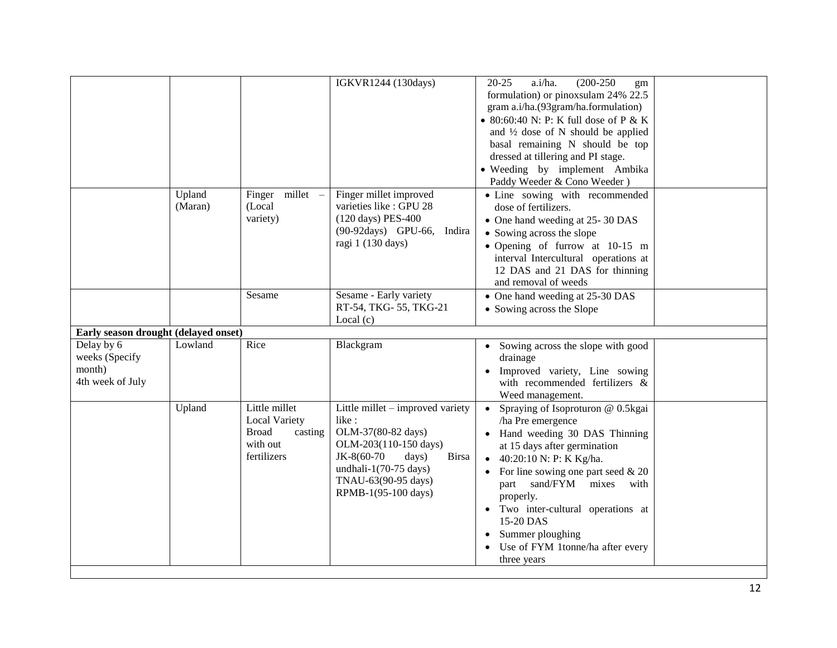|                                                                                                    |                   |                                                                                             | IGKVR1244 (130days)                                                                                                                                                                                    | a.i/ha.<br>$(200-250)$<br>$20 - 25$<br>gm<br>formulation) or pinoxsulam 24% 22.5<br>gram a.i/ha.(93gram/ha.formulation)<br>• 80:60:40 N: P: K full dose of P & K<br>and $\frac{1}{2}$ dose of N should be applied<br>basal remaining N should be top<br>dressed at tillering and PI stage.<br>• Weeding by implement Ambika<br>Paddy Weeder & Cono Weeder)               |  |
|----------------------------------------------------------------------------------------------------|-------------------|---------------------------------------------------------------------------------------------|--------------------------------------------------------------------------------------------------------------------------------------------------------------------------------------------------------|--------------------------------------------------------------------------------------------------------------------------------------------------------------------------------------------------------------------------------------------------------------------------------------------------------------------------------------------------------------------------|--|
|                                                                                                    | Upland<br>(Maran) | millet –<br>Finger<br>(Local<br>variety)                                                    | Finger millet improved<br>varieties like : GPU 28<br>(120 days) PES-400<br>(90-92days) GPU-66, Indira<br>ragi 1 (130 days)                                                                             | • Line sowing with recommended<br>dose of fertilizers.<br>• One hand weeding at 25-30 DAS<br>• Sowing across the slope<br>· Opening of furrow at 10-15 m<br>interval Intercultural operations at<br>12 DAS and 21 DAS for thinning<br>and removal of weeds                                                                                                               |  |
|                                                                                                    |                   | Sesame                                                                                      | Sesame - Early variety<br>RT-54, TKG-55, TKG-21<br>Local $(c)$                                                                                                                                         | • One hand weeding at 25-30 DAS<br>• Sowing across the Slope                                                                                                                                                                                                                                                                                                             |  |
| Early season drought (delayed onset)<br>Delay by 6<br>weeks (Specify<br>month)<br>4th week of July | Lowland           | Rice                                                                                        | Blackgram                                                                                                                                                                                              | • Sowing across the slope with good<br>drainage<br>Improved variety, Line sowing<br>with recommended fertilizers &<br>Weed management.                                                                                                                                                                                                                                   |  |
|                                                                                                    | Upland            | Little millet<br><b>Local Variety</b><br><b>Broad</b><br>casting<br>with out<br>fertilizers | Little millet – improved variety<br>like:<br>OLM-37(80-82 days)<br>OLM-203(110-150 days)<br>JK-8(60-70<br>days)<br><b>Birsa</b><br>undhali-1(70-75 days)<br>TNAU-63(90-95 days)<br>RPMB-1(95-100 days) | • Spraying of Isoproturon $@$ 0.5 kgai<br>/ha Pre emergence<br>• Hand weeding 30 DAS Thinning<br>at 15 days after germination<br>• 40:20:10 N: P: K Kg/ha.<br>For line sowing one part seed $& 20$<br>part sand/FYM mixes<br>with<br>properly.<br>• Two inter-cultural operations at<br>15-20 DAS<br>Summer ploughing<br>Use of FYM 1tonne/ha after every<br>three years |  |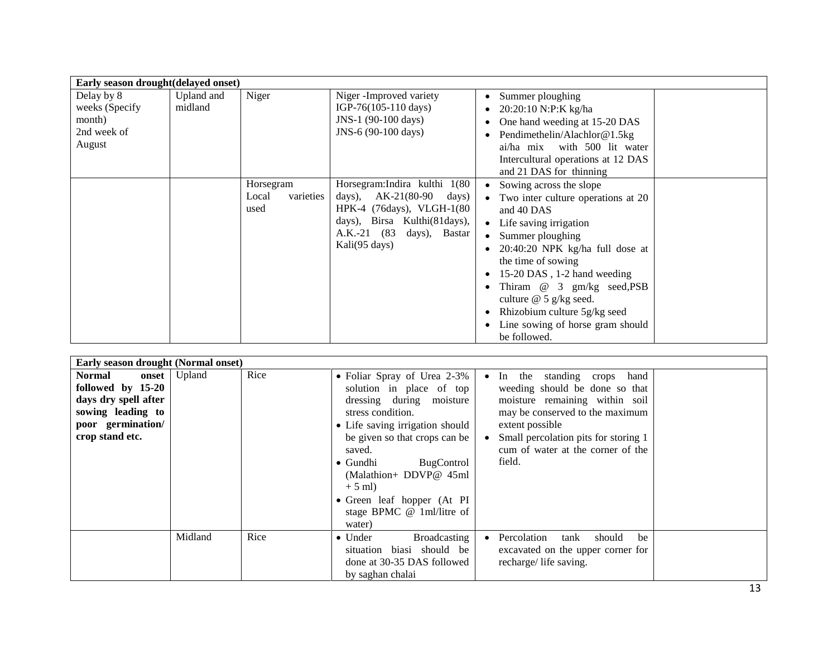| Early season drought(delayed onset)                             |                       |                                         |                                                                                                                                                                                   |                                                                                                                                                                                                                                                                                                                                                                              |
|-----------------------------------------------------------------|-----------------------|-----------------------------------------|-----------------------------------------------------------------------------------------------------------------------------------------------------------------------------------|------------------------------------------------------------------------------------------------------------------------------------------------------------------------------------------------------------------------------------------------------------------------------------------------------------------------------------------------------------------------------|
| Delay by 8<br>weeks (Specify<br>month)<br>2nd week of<br>August | Upland and<br>midland | Niger                                   | Niger -Improved variety<br>IGP-76(105-110 days)<br>JNS-1 (90-100 days)<br>JNS-6 (90-100 days)                                                                                     | Summer ploughing<br>20:20:10 N:P:K kg/ha<br>One hand weeding at 15-20 DAS<br>Pendimethelin/Alachlor@1.5kg<br>with 500 lit water<br>ai/ha mix<br>Intercultural operations at 12 DAS<br>and 21 DAS for thinning                                                                                                                                                                |
|                                                                 |                       | Horsegram<br>varieties<br>Local<br>used | Horsegram: Indira kulthi 1(80<br>days), $AK-21(80-90 \text{ days})$<br>HPK-4 (76days), VLGH-1(80<br>days), Birsa Kulthi(81days),<br>A.K.-21 (83<br>days), Bastar<br>Kali(95 days) | Sowing across the slope<br>• Two inter culture operations at 20<br>and 40 DAS<br>• Life saving irrigation<br>• Summer ploughing<br>$20:40:20$ NPK kg/ha full dose at<br>the time of sowing<br>15-20 DAS, 1-2 hand weeding<br>Thiram @ 3 gm/kg seed, PSB<br>culture $\omega$ 5 g/kg seed.<br>Rhizobium culture 5g/kg seed<br>Line sowing of horse gram should<br>be followed. |

| Early season drought (Normal onset)                                                                                         |         |      |                                                                                                                                                                                                                                                                                                                                     |                                                                                                                                                                                                                                               |
|-----------------------------------------------------------------------------------------------------------------------------|---------|------|-------------------------------------------------------------------------------------------------------------------------------------------------------------------------------------------------------------------------------------------------------------------------------------------------------------------------------------|-----------------------------------------------------------------------------------------------------------------------------------------------------------------------------------------------------------------------------------------------|
| Normal<br>onset  <br>followed by 15-20<br>days dry spell after<br>sowing leading to<br>poor germination/<br>crop stand etc. | Upland  | Rice | • Foliar Spray of Urea 2-3%<br>solution in place of top<br>dressing during moisture<br>stress condition.<br>• Life saving irrigation should<br>be given so that crops can be<br>saved.<br>BugControl<br>$\bullet$ Gundhi<br>(Malathion+ DDVP@ 45ml<br>$+5$ ml)<br>• Green leaf hopper (At PI<br>stage BPMC @ 1ml/litre of<br>water) | • In the standing crops hand<br>weeding should be done so that<br>moisture remaining within soil<br>may be conserved to the maximum<br>extent possible<br>Small percolation pits for storing 1<br>cum of water at the corner of the<br>field. |
|                                                                                                                             | Midland | Rice | <b>Broadcasting</b><br>$\bullet$ Under<br>biasi should be<br>situation<br>done at 30-35 DAS followed<br>by saghan chalai                                                                                                                                                                                                            | Percolation<br>should<br>be<br>tank<br>excavated on the upper corner for<br>recharge/life saving.                                                                                                                                             |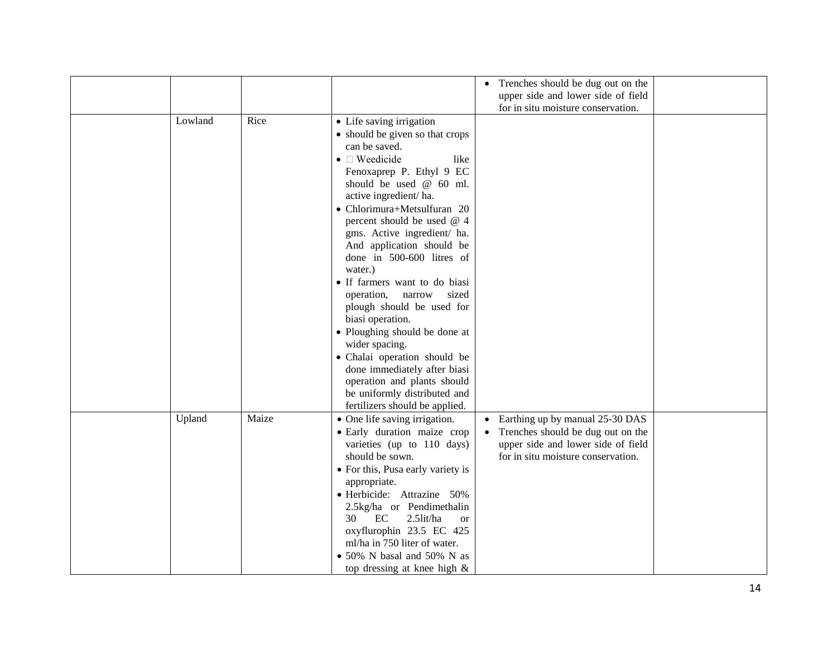|         |       |                                               | Trenches should be dug out on the<br>$\bullet$                           |  |
|---------|-------|-----------------------------------------------|--------------------------------------------------------------------------|--|
|         |       |                                               | upper side and lower side of field                                       |  |
|         |       |                                               | for in situ moisture conservation.                                       |  |
| Lowland | Rice  | • Life saving irrigation                      |                                                                          |  |
|         |       | • should be given so that crops               |                                                                          |  |
|         |       | can be saved.                                 |                                                                          |  |
|         |       | $\bullet$ $\square$ Weedicide<br>like         |                                                                          |  |
|         |       | Fenoxaprep P. Ethyl 9 EC                      |                                                                          |  |
|         |       | should be used @ 60 ml.                       |                                                                          |  |
|         |       | active ingredient/ha.                         |                                                                          |  |
|         |       | • Chlorimura+Metsulfuran 20                   |                                                                          |  |
|         |       | percent should be used @ 4                    |                                                                          |  |
|         |       | gms. Active ingredient/ ha.                   |                                                                          |  |
|         |       | And application should be                     |                                                                          |  |
|         |       | done in 500-600 litres of                     |                                                                          |  |
|         |       | water.)                                       |                                                                          |  |
|         |       | • If farmers want to do biasi                 |                                                                          |  |
|         |       | operation,<br>narrow<br>sized                 |                                                                          |  |
|         |       | plough should be used for                     |                                                                          |  |
|         |       | biasi operation.                              |                                                                          |  |
|         |       | • Ploughing should be done at                 |                                                                          |  |
|         |       | wider spacing.                                |                                                                          |  |
|         |       | • Chalai operation should be                  |                                                                          |  |
|         |       | done immediately after biasi                  |                                                                          |  |
|         |       | operation and plants should                   |                                                                          |  |
|         |       | be uniformly distributed and                  |                                                                          |  |
|         |       | fertilizers should be applied.                |                                                                          |  |
| Upland  | Maize | • One life saving irrigation.                 | Earthing up by manual 25-30 DAS                                          |  |
|         |       |                                               | $\bullet$                                                                |  |
|         |       | · Early duration maize crop                   | Trenches should be dug out on the<br>$\bullet$                           |  |
|         |       | varieties (up to 110 days)<br>should be sown. | upper side and lower side of field<br>for in situ moisture conservation. |  |
|         |       |                                               |                                                                          |  |
|         |       | • For this, Pusa early variety is             |                                                                          |  |
|         |       | appropriate.                                  |                                                                          |  |
|         |       | · Herbicide: Attrazine 50%                    |                                                                          |  |
|         |       | 2.5kg/ha or Pendimethalin                     |                                                                          |  |
|         |       | 2.5lit/ha<br>EC<br>30<br><b>or</b>            |                                                                          |  |
|         |       | oxyflurophin 23.5 EC 425                      |                                                                          |  |
|         |       | ml/ha in 750 liter of water.                  |                                                                          |  |
|         |       | • 50% N basal and 50% N as                    |                                                                          |  |
|         |       | top dressing at knee high $\&$                |                                                                          |  |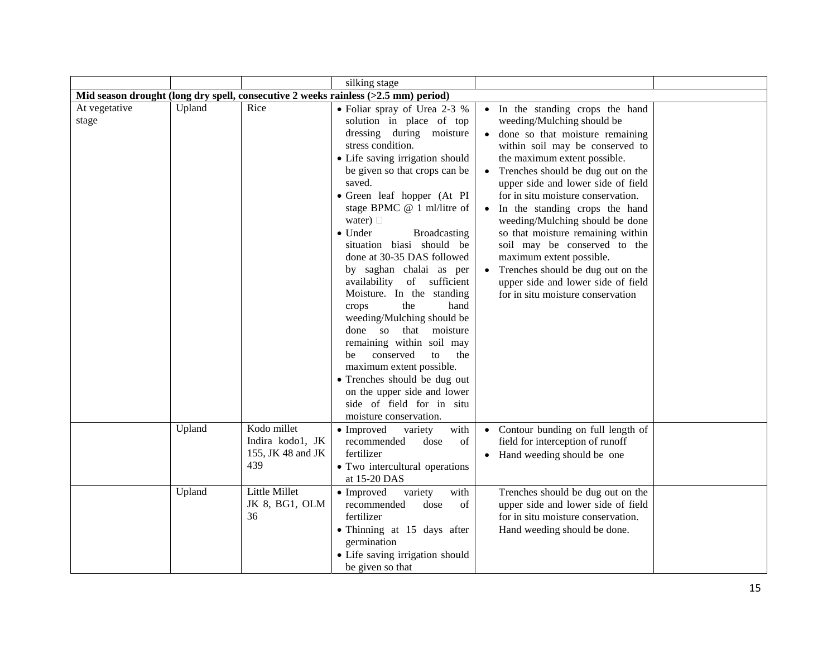|                        |        |                                                             | silking stage                                                                                                                                                                                                                                                                                                                                                                                                                                                                                                                                                                                                                                                                                                                                             |                                                                                                                                                                                                                                                                                                                                                                                                                                                                                                                                                                                 |
|------------------------|--------|-------------------------------------------------------------|-----------------------------------------------------------------------------------------------------------------------------------------------------------------------------------------------------------------------------------------------------------------------------------------------------------------------------------------------------------------------------------------------------------------------------------------------------------------------------------------------------------------------------------------------------------------------------------------------------------------------------------------------------------------------------------------------------------------------------------------------------------|---------------------------------------------------------------------------------------------------------------------------------------------------------------------------------------------------------------------------------------------------------------------------------------------------------------------------------------------------------------------------------------------------------------------------------------------------------------------------------------------------------------------------------------------------------------------------------|
|                        |        |                                                             | Mid season drought (long dry spell, consecutive 2 weeks rainless (>2.5 mm) period)                                                                                                                                                                                                                                                                                                                                                                                                                                                                                                                                                                                                                                                                        |                                                                                                                                                                                                                                                                                                                                                                                                                                                                                                                                                                                 |
| At vegetative<br>stage | Upland | Rice                                                        | • Foliar spray of Urea 2-3 %<br>solution in place of top<br>dressing during moisture<br>stress condition.<br>• Life saving irrigation should<br>be given so that crops can be<br>saved.<br>• Green leaf hopper (At PI<br>stage BPMC @ 1 ml/litre of<br>water) $\Box$<br>$\bullet$ Under<br>Broadcasting<br>situation biasi should be<br>done at 30-35 DAS followed<br>by saghan chalai as per<br>availability of sufficient<br>Moisture. In the standing<br>the<br>hand<br>crops<br>weeding/Mulching should be<br>done so<br>that moisture<br>remaining within soil may<br>conserved<br>to<br>the<br>be<br>maximum extent possible.<br>• Trenches should be dug out<br>on the upper side and lower<br>side of field for in situ<br>moisture conservation. | • In the standing crops the hand<br>weeding/Mulching should be<br>• done so that moisture remaining<br>within soil may be conserved to<br>the maximum extent possible.<br>• Trenches should be dug out on the<br>upper side and lower side of field<br>for in situ moisture conservation.<br>In the standing crops the hand<br>weeding/Mulching should be done<br>so that moisture remaining within<br>soil may be conserved to the<br>maximum extent possible.<br>Trenches should be dug out on the<br>upper side and lower side of field<br>for in situ moisture conservation |
|                        | Upland | Kodo millet<br>Indira kodo1, JK<br>155, JK 48 and JK<br>439 | with<br>• Improved<br>variety<br>of<br>recommended<br>dose<br>fertilizer<br>• Two intercultural operations<br>at 15-20 DAS                                                                                                                                                                                                                                                                                                                                                                                                                                                                                                                                                                                                                                | • Contour bunding on full length of<br>field for interception of runoff<br>• Hand weeding should be one                                                                                                                                                                                                                                                                                                                                                                                                                                                                         |
|                        | Upland | <b>Little Millet</b><br>JK 8, BG1, OLM<br>36                | variety<br>with<br>• Improved<br>recommended<br>dose<br>of<br>fertilizer<br>• Thinning at 15 days after<br>germination<br>• Life saving irrigation should<br>be given so that                                                                                                                                                                                                                                                                                                                                                                                                                                                                                                                                                                             | Trenches should be dug out on the<br>upper side and lower side of field<br>for in situ moisture conservation.<br>Hand weeding should be done.                                                                                                                                                                                                                                                                                                                                                                                                                                   |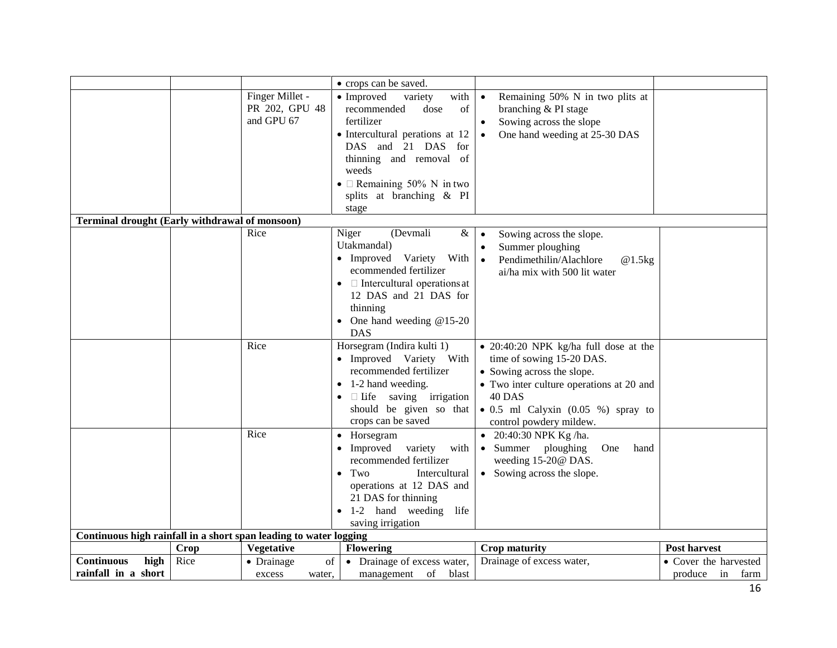|                                                                   |      |                  | • crops can be saved.                        |                                                |                       |
|-------------------------------------------------------------------|------|------------------|----------------------------------------------|------------------------------------------------|-----------------------|
|                                                                   |      | Finger Millet -  | • Improved<br>with<br>variety                | Remaining 50% N in two plits at<br>$\bullet$   |                       |
|                                                                   |      | PR 202, GPU 48   | of<br>recommended<br>dose                    | branching & PI stage                           |                       |
|                                                                   |      | and GPU 67       | fertilizer                                   | Sowing across the slope<br>$\bullet$           |                       |
|                                                                   |      |                  | • Intercultural perations at 12              | One hand weeding at 25-30 DAS<br>$\bullet$     |                       |
|                                                                   |      |                  | DAS and 21 DAS for                           |                                                |                       |
|                                                                   |      |                  | thinning and removal of                      |                                                |                       |
|                                                                   |      |                  | weeds                                        |                                                |                       |
|                                                                   |      |                  | • $\Box$ Remaining 50% N in two              |                                                |                       |
|                                                                   |      |                  | splits at branching & PI                     |                                                |                       |
|                                                                   |      |                  | stage                                        |                                                |                       |
| Terminal drought (Early withdrawal of monsoon)                    |      |                  |                                              |                                                |                       |
|                                                                   |      | Rice             | Niger<br>(Devmali<br>&                       | Sowing across the slope.                       |                       |
|                                                                   |      |                  | Utakmandal)                                  | Summer ploughing<br>$\bullet$                  |                       |
|                                                                   |      |                  | • Improved Variety<br>With                   | Pendimethilin/Alachlore<br>@1.5kg<br>$\bullet$ |                       |
|                                                                   |      |                  | ecommended fertilizer                        | ai/ha mix with 500 lit water                   |                       |
|                                                                   |      |                  | $\bullet$ $\Box$ Intercultural operations at |                                                |                       |
|                                                                   |      |                  | 12 DAS and 21 DAS for<br>thinning            |                                                |                       |
|                                                                   |      |                  | • One hand weeding $@15-20$                  |                                                |                       |
|                                                                   |      |                  | <b>DAS</b>                                   |                                                |                       |
|                                                                   |      | Rice             | Horsegram (Indira kulti 1)                   | • 20:40:20 NPK kg/ha full dose at the          |                       |
|                                                                   |      |                  | • Improved Variety With                      | time of sowing 15-20 DAS.                      |                       |
|                                                                   |      |                  | recommended fertilizer                       | • Sowing across the slope.                     |                       |
|                                                                   |      |                  | $\bullet$ 1-2 hand weeding.                  | • Two inter culture operations at 20 and       |                       |
|                                                                   |      |                  | $\Box$ Life saving irrigation                | 40 DAS                                         |                       |
|                                                                   |      |                  | should be given so that                      | $\bullet$ 0.5 ml Calyxin (0.05 %) spray to     |                       |
|                                                                   |      |                  | crops can be saved                           | control powdery mildew.                        |                       |
|                                                                   |      | Rice             | • Horsegram                                  | • 20:40:30 NPK Kg/ha.                          |                       |
|                                                                   |      |                  | • Improved variety<br>with                   | • Summer ploughing<br>One<br>hand              |                       |
|                                                                   |      |                  | recommended fertilizer                       | weeding 15-20@ DAS.                            |                       |
|                                                                   |      |                  | $\bullet$ Two<br>Intercultural               | • Sowing across the slope.                     |                       |
|                                                                   |      |                  | operations at 12 DAS and                     |                                                |                       |
|                                                                   |      |                  | 21 DAS for thinning                          |                                                |                       |
|                                                                   |      |                  | • 1-2 hand weeding life                      |                                                |                       |
|                                                                   |      |                  | saving irrigation                            |                                                |                       |
| Continuous high rainfall in a short span leading to water logging |      |                  |                                              |                                                |                       |
|                                                                   | Crop | Vegetative       | <b>Flowering</b>                             | <b>Crop maturity</b>                           | Post harvest          |
| <b>Continuous</b><br>high                                         | Rice | of<br>• Drainage | • Drainage of excess water,                  | Drainage of excess water,                      | • Cover the harvested |
| rainfall in a short                                               |      | excess<br>water. | management<br>of<br>blast                    |                                                | produce<br>in<br>farm |
|                                                                   |      |                  |                                              |                                                |                       |